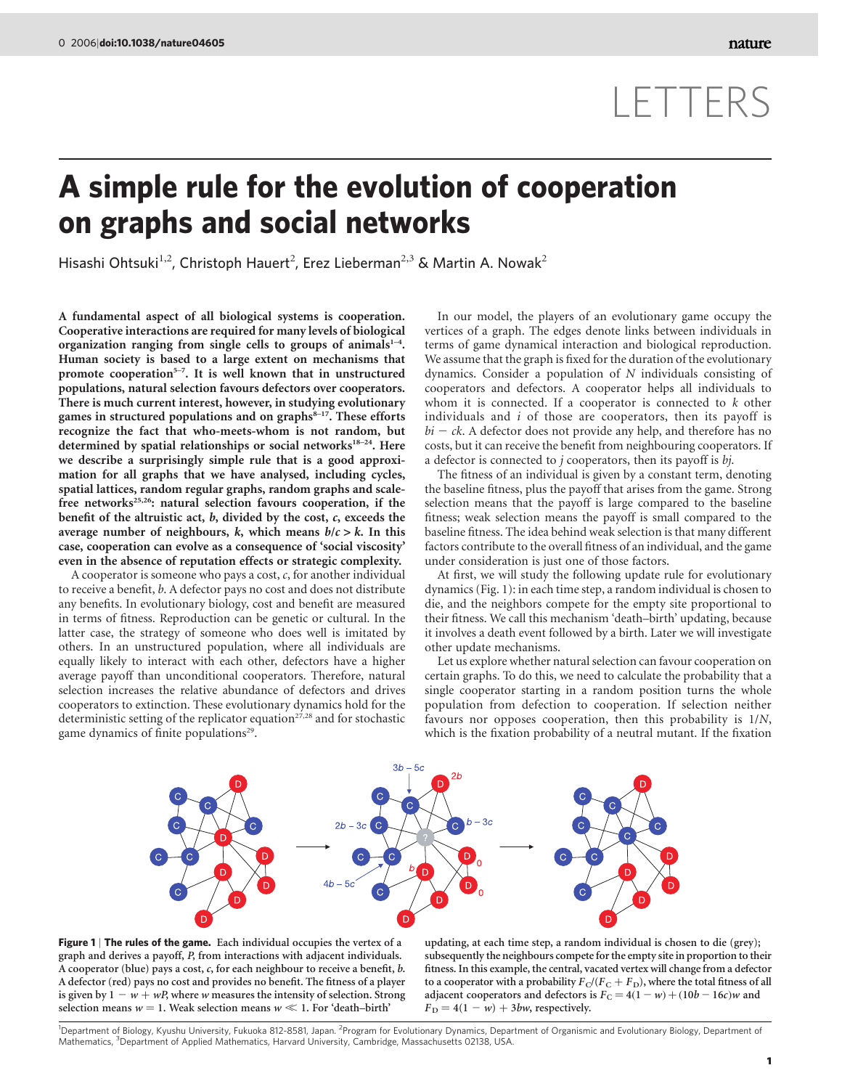## LETTERS

## A simple rule for the evolution of cooperation on graphs and social networks

Hisashi Ohtsuki<sup>1,2</sup>, Christoph Hauert<sup>2</sup>, Erez Lieberman<sup>2,3</sup> & Martin A. Nowak<sup>2</sup>

A fundamental aspect of all biological systems is cooperation. Cooperative interactions are required for many levels of biological organization ranging from single cells to groups of animals $1-4$ . Human society is based to a large extent on mechanisms that promote cooperation<sup> $5-7$ </sup>. It is well known that in unstructured populations, natural selection favours defectors over cooperators. There is much current interest, however, in studying evolutionary games in structured populations and on graphs $8-17$ . These efforts recognize the fact that who-meets-whom is not random, but determined by spatial relationships or social networks<sup>18-24</sup>. Here we describe a surprisingly simple rule that is a good approximation for all graphs that we have analysed, including cycles, spatial lattices, random regular graphs, random graphs and scalefree networks<sup>25,26</sup>: natural selection favours cooperation, if the benefit of the altruistic act,  $b$ , divided by the cost,  $c$ , exceeds the average number of neighbours, k, which means  $b/c > k$ . In this case, cooperation can evolve as a consequence of 'social viscosity' even in the absence of reputation effects or strategic complexity.

A cooperator is someone who pays a cost,  $c$ , for another individual to receive a benefit, b. A defector pays no cost and does not distribute any benefits. In evolutionary biology, cost and benefit are measured in terms of fitness. Reproduction can be genetic or cultural. In the latter case, the strategy of someone who does well is imitated by others. In an unstructured population, where all individuals are equally likely to interact with each other, defectors have a higher average payoff than unconditional cooperators. Therefore, natural selection increases the relative abundance of defectors and drives cooperators to extinction. These evolutionary dynamics hold for the deterministic setting of the replicator equation<sup>27,28</sup> and for stochastic game dynamics of finite populations<sup>29</sup>.

In our model, the players of an evolutionary game occupy the vertices of a graph. The edges denote links between individuals in terms of game dynamical interaction and biological reproduction. We assume that the graph is fixed for the duration of the evolutionary dynamics. Consider a population of N individuals consisting of cooperators and defectors. A cooperator helps all individuals to whom it is connected. If a cooperator is connected to  $k$  other individuals and  $i$  of those are cooperators, then its payoff is  $bi - ck$ . A defector does not provide any help, and therefore has no costs, but it can receive the benefit from neighbouring cooperators. If a defector is connected to  $j$  cooperators, then its payoff is  $bj$ .

The fitness of an individual is given by a constant term, denoting the baseline fitness, plus the payoff that arises from the game. Strong selection means that the payoff is large compared to the baseline fitness; weak selection means the payoff is small compared to the baseline fitness. The idea behind weak selection is that many different factors contribute to the overall fitness of an individual, and the game under consideration is just one of those factors.

At first, we will study the following update rule for evolutionary dynamics (Fig. 1): in each time step, a random individual is chosen to die, and the neighbors compete for the empty site proportional to their fitness. We call this mechanism 'death–birth' updating, because it involves a death event followed by a birth. Later we will investigate other update mechanisms.

Let us explore whether natural selection can favour cooperation on certain graphs. To do this, we need to calculate the probability that a single cooperator starting in a random position turns the whole population from defection to cooperation. If selection neither favours nor opposes cooperation, then this probability is 1/N, which is the fixation probability of a neutral mutant. If the fixation



Figure 1 | The rules of the game. Each individual occupies the vertex of a graph and derives a payoff, P, from interactions with adjacent individuals. A cooperator (blue) pays a cost,  $c$ , for each neighbour to receive a benefit,  $b$ . A defector (red) pays no cost and provides no benefit. The fitness of a player is given by  $1 - w + wP$ , where w measures the intensity of selection. Strong selection means  $w = 1$ . Weak selection means  $w \ll 1$ . For 'death-birth'

updating, at each time step, a random individual is chosen to die (grey); subsequently the neighbours compete for the empty site in proportion to their fitness. In this example, the central, vacated vertex will change from a defector to a cooperator with a probability  $F_{\rm C}/(F_{\rm C}+F_{\rm D}),$  where the total fitness of all adjacent cooperators and defectors is  $F_C = 4(1 - w) + (10b - 16c)w$  and  $F_D = 4(1 - w) + 3bw$ , respectively.

<sup>1</sup>Department of Biology, Kyushu University, Fukuoka 812-8581, Japan. <sup>2</sup>Program for Evolutionary Dynamics, Department of Organismic and Evolutionary Biology, Department of Mathematics, <sup>3</sup>Department of Applied Mathematics, Harvard University, Cambridge, Massachusetts 02138, USA.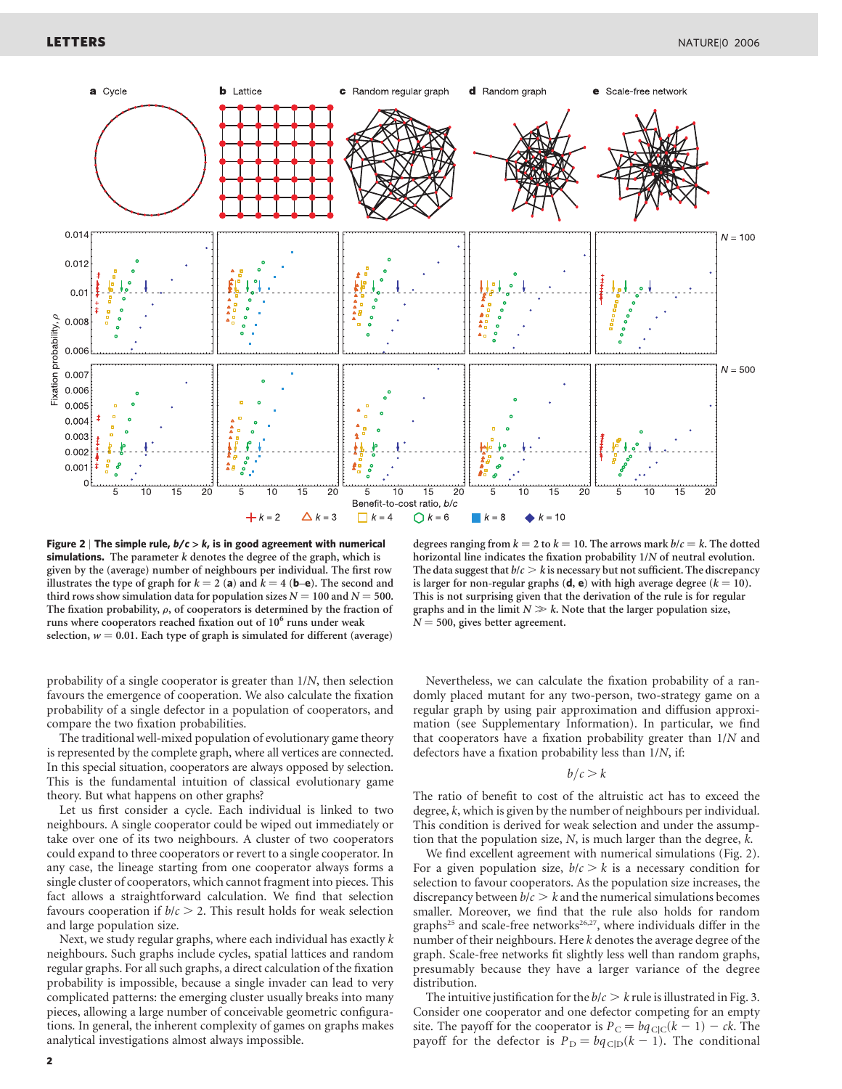

Figure 2 | The simple rule,  $b/c > k$ , is in good agreement with numerical simulations. The parameter  $k$  denotes the degree of the graph, which is given by the (average) number of neighbours per individual. The first row illustrates the type of graph for  $k = 2$  (a) and  $k = 4$  (b–e). The second and third rows show simulation data for population sizes  $N = 100$  and  $N = 500$ . The fixation probability,  $\rho$ , of cooperators is determined by the fraction of runs where cooperators reached fixation out of 10<sup>6</sup> runs under weak selection,  $w = 0.01$ . Each type of graph is simulated for different (average)

probability of a single cooperator is greater than 1/N, then selection favours the emergence of cooperation. We also calculate the fixation probability of a single defector in a population of cooperators, and compare the two fixation probabilities.

The traditional well-mixed population of evolutionary game theory is represented by the complete graph, where all vertices are connected. In this special situation, cooperators are always opposed by selection. This is the fundamental intuition of classical evolutionary game theory. But what happens on other graphs?

Let us first consider a cycle. Each individual is linked to two neighbours. A single cooperator could be wiped out immediately or take over one of its two neighbours. A cluster of two cooperators could expand to three cooperators or revert to a single cooperator. In any case, the lineage starting from one cooperator always forms a single cluster of cooperators, which cannot fragment into pieces. This fact allows a straightforward calculation. We find that selection favours cooperation if  $b/c > 2$ . This result holds for weak selection and large population size.

Next, we study regular graphs, where each individual has exactly k neighbours. Such graphs include cycles, spatial lattices and random regular graphs. For all such graphs, a direct calculation of the fixation probability is impossible, because a single invader can lead to very complicated patterns: the emerging cluster usually breaks into many pieces, allowing a large number of conceivable geometric configurations. In general, the inherent complexity of games on graphs makes analytical investigations almost always impossible.

degrees ranging from  $k = 2$  to  $k = 10$ . The arrows mark  $b/c = k$ . The dotted horizontal line indicates the fixation probability 1/N of neutral evolution. The data suggest that  $b/c > k$  is necessary but not sufficient. The discrepancy is larger for non-regular graphs (**d**, **e**) with high average degree ( $k = 10$ ). This is not surprising given that the derivation of the rule is for regular graphs and in the limit  $N \gg k$ . Note that the larger population size,  $N = 500$ , gives better agreement.

Nevertheless, we can calculate the fixation probability of a randomly placed mutant for any two-person, two-strategy game on a regular graph by using pair approximation and diffusion approximation (see Supplementary Information). In particular, we find that cooperators have a fixation probability greater than 1/N and defectors have a fixation probability less than 1/N, if:

$$
b/c > k
$$

The ratio of benefit to cost of the altruistic act has to exceed the degree, k, which is given by the number of neighbours per individual. This condition is derived for weak selection and under the assumption that the population size,  $N$ , is much larger than the degree,  $k$ .

We find excellent agreement with numerical simulations (Fig. 2). For a given population size,  $b/c > k$  is a necessary condition for selection to favour cooperators. As the population size increases, the discrepancy between  $b/c > k$  and the numerical simulations becomes smaller. Moreover, we find that the rule also holds for random graphs<sup>25</sup> and scale-free networks<sup>26,27</sup>, where individuals differ in the number of their neighbours. Here k denotes the average degree of the graph. Scale-free networks fit slightly less well than random graphs, presumably because they have a larger variance of the degree distribution.

The intuitive justification for the  $b/c > k$  rule is illustrated in Fig. 3. Consider one cooperator and one defector competing for an empty site. The payoff for the cooperator is  $P_C = bq_{C|C}(k - 1) - ck$ . The payoff for the defector is  $P_D = bq_{C/D}(k - 1)$ . The conditional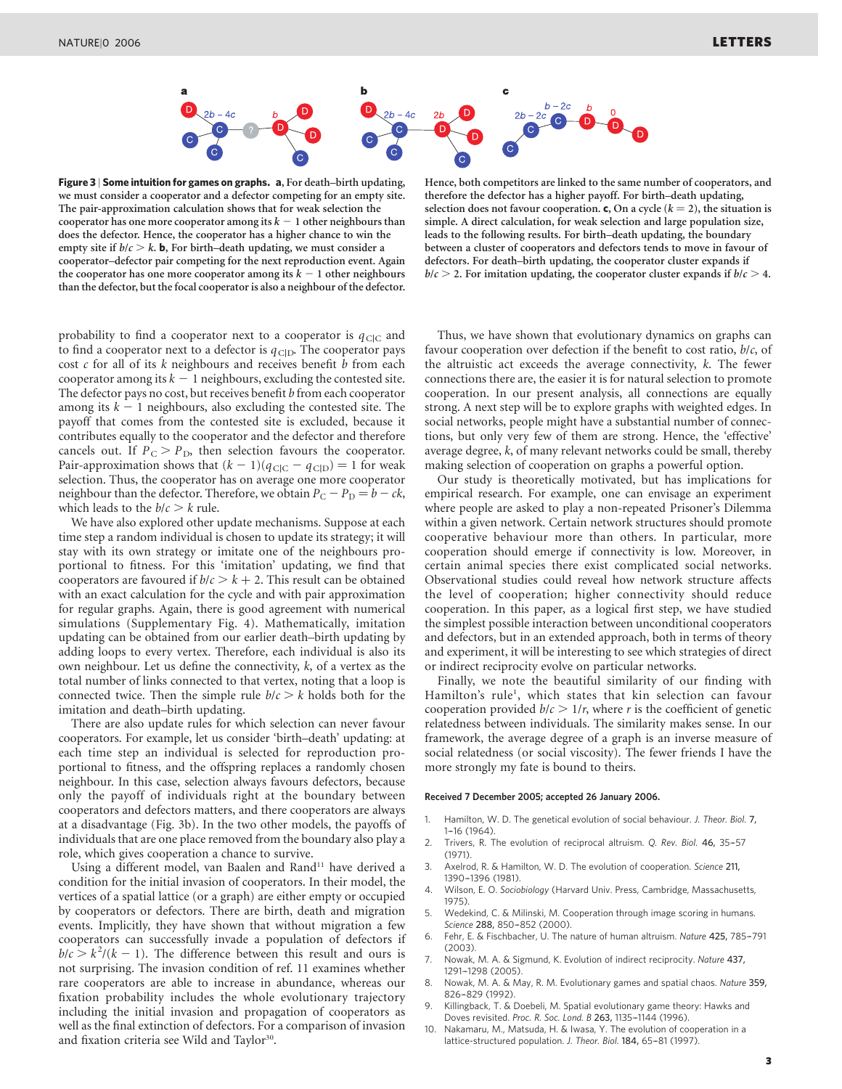

Figure 3 | Some intuition for games on graphs. a, For death-birth updating, we must consider a cooperator and a defector competing for an empty site. The pair-approximation calculation shows that for weak selection the cooperator has one more cooperator among its  $k - 1$  other neighbours than does the defector. Hence, the cooperator has a higher chance to win the empty site if  $b/c > k$ . **b**, For birth–death updating, we must consider a cooperator–defector pair competing for the next reproduction event. Again the cooperator has one more cooperator among its  $k - 1$  other neighbours than the defector, but the focal cooperator is also a neighbour of the defector.

Hence, both competitors are linked to the same number of cooperators, and therefore the defector has a higher payoff. For birth–death updating, selection does not favour cooperation. c, On a cycle ( $k = 2$ ), the situation is simple. A direct calculation, for weak selection and large population size, leads to the following results. For birth–death updating, the boundary between a cluster of cooperators and defectors tends to move in favour of defectors. For death–birth updating, the cooperator cluster expands if  $b/c > 2$ . For imitation updating, the cooperator cluster expands if  $b/c > 4$ .

probability to find a cooperator next to a cooperator is  $q_{\text{ClC}}$  and to find a cooperator next to a defector is  $q_{\text{C}|D}$ . The cooperator pays cost  $c$  for all of its  $k$  neighbours and receives benefit  $b$  from each cooperator among its  $k - 1$  neighbours, excluding the contested site. The defector pays no cost, but receives benefit b from each cooperator among its  $k - 1$  neighbours, also excluding the contested site. The payoff that comes from the contested site is excluded, because it contributes equally to the cooperator and the defector and therefore cancels out. If  $P_{\rm C} > P_{\rm D}$ , then selection favours the cooperator. Pair-approximation shows that  $(k - 1)(q_{C|C} - q_{C|D}) = 1$  for weak selection. Thus, the cooperator has on average one more cooperator neighbour than the defector. Therefore, we obtain  $P_C - P_D = b - ck$ , which leads to the  $b/c > k$  rule.

We have also explored other update mechanisms. Suppose at each time step a random individual is chosen to update its strategy; it will stay with its own strategy or imitate one of the neighbours proportional to fitness. For this 'imitation' updating, we find that cooperators are favoured if  $b/c > k + 2$ . This result can be obtained with an exact calculation for the cycle and with pair approximation for regular graphs. Again, there is good agreement with numerical simulations (Supplementary Fig. 4). Mathematically, imitation updating can be obtained from our earlier death–birth updating by adding loops to every vertex. Therefore, each individual is also its own neighbour. Let us define the connectivity, k, of a vertex as the total number of links connected to that vertex, noting that a loop is connected twice. Then the simple rule  $b/c > k$  holds both for the imitation and death–birth updating.

There are also update rules for which selection can never favour cooperators. For example, let us consider 'birth–death' updating: at each time step an individual is selected for reproduction proportional to fitness, and the offspring replaces a randomly chosen neighbour. In this case, selection always favours defectors, because only the payoff of individuals right at the boundary between cooperators and defectors matters, and there cooperators are always at a disadvantage (Fig. 3b). In the two other models, the payoffs of individuals that are one place removed from the boundary also play a role, which gives cooperation a chance to survive.

Using a different model, van Baalen and Rand<sup>11</sup> have derived a condition for the initial invasion of cooperators. In their model, the vertices of a spatial lattice (or a graph) are either empty or occupied by cooperators or defectors. There are birth, death and migration events. Implicitly, they have shown that without migration a few cooperators can successfully invade a population of defectors if  $b/c > k^2/(k-1)$ . The difference between this result and ours is not surprising. The invasion condition of ref. 11 examines whether rare cooperators are able to increase in abundance, whereas our fixation probability includes the whole evolutionary trajectory including the initial invasion and propagation of cooperators as well as the final extinction of defectors. For a comparison of invasion and fixation criteria see Wild and Taylor<sup>30</sup>.

Thus, we have shown that evolutionary dynamics on graphs can favour cooperation over defection if the benefit to cost ratio,  $b/c$ , of the altruistic act exceeds the average connectivity, k. The fewer connections there are, the easier it is for natural selection to promote cooperation. In our present analysis, all connections are equally strong. A next step will be to explore graphs with weighted edges. In social networks, people might have a substantial number of connections, but only very few of them are strong. Hence, the 'effective' average degree, k, of many relevant networks could be small, thereby making selection of cooperation on graphs a powerful option.

Our study is theoretically motivated, but has implications for empirical research. For example, one can envisage an experiment where people are asked to play a non-repeated Prisoner's Dilemma within a given network. Certain network structures should promote cooperative behaviour more than others. In particular, more cooperation should emerge if connectivity is low. Moreover, in certain animal species there exist complicated social networks. Observational studies could reveal how network structure affects the level of cooperation; higher connectivity should reduce cooperation. In this paper, as a logical first step, we have studied the simplest possible interaction between unconditional cooperators and defectors, but in an extended approach, both in terms of theory and experiment, it will be interesting to see which strategies of direct or indirect reciprocity evolve on particular networks.

Finally, we note the beautiful similarity of our finding with Hamilton's rule<sup>1</sup>, which states that kin selection can favour cooperation provided  $b/c > 1/r$ , where r is the coefficient of genetic relatedness between individuals. The similarity makes sense. In our framework, the average degree of a graph is an inverse measure of social relatedness (or social viscosity). The fewer friends I have the more strongly my fate is bound to theirs.

## Received 7 December 2005; accepted 26 January 2006.

- Hamilton, W. D. The genetical evolution of social behaviour. J. Theor. Biol. 7, 1–-16 (1964).
- 2. Trivers, R. The evolution of reciprocal altruism. Q. Rev. Biol. 46, 35-57 (1971).
- 3. Axelrod, R. & Hamilton, W. D. The evolution of cooperation. Science 211, 1390–1396 (1981)
- 4. Wilson, E. O. Sociobiology (Harvard Univ. Press, Cambridge, Massachusetts, 1975).
- 5. Wedekind, C. & Milinski, M. Cooperation through image scoring in humans. Science 288, 850-852 (2000).
- 6. Fehr, E. & Fischbacher, U. The nature of human altruism. Nature 425, 785–-791 (2003).
- 7. Nowak, M. A. & Sigmund, K. Evolution of indirect reciprocity. Nature 437, 1291–1298 (2005)
- Nowak, M. A. & May, R. M. Evolutionary games and spatial chaos. Nature 359, 826-829 (1992).
- Killingback, T. & Doebeli, M. Spatial evolutionary game theory: Hawks and Doves revisited. Proc. R. Soc. Lond. B 263, 1135-1144 (1996).
- 10. Nakamaru, M., Matsuda, H. & Iwasa, Y. The evolution of cooperation in a lattice-structured population. J. Theor. Biol. 184, 65-81 (1997).